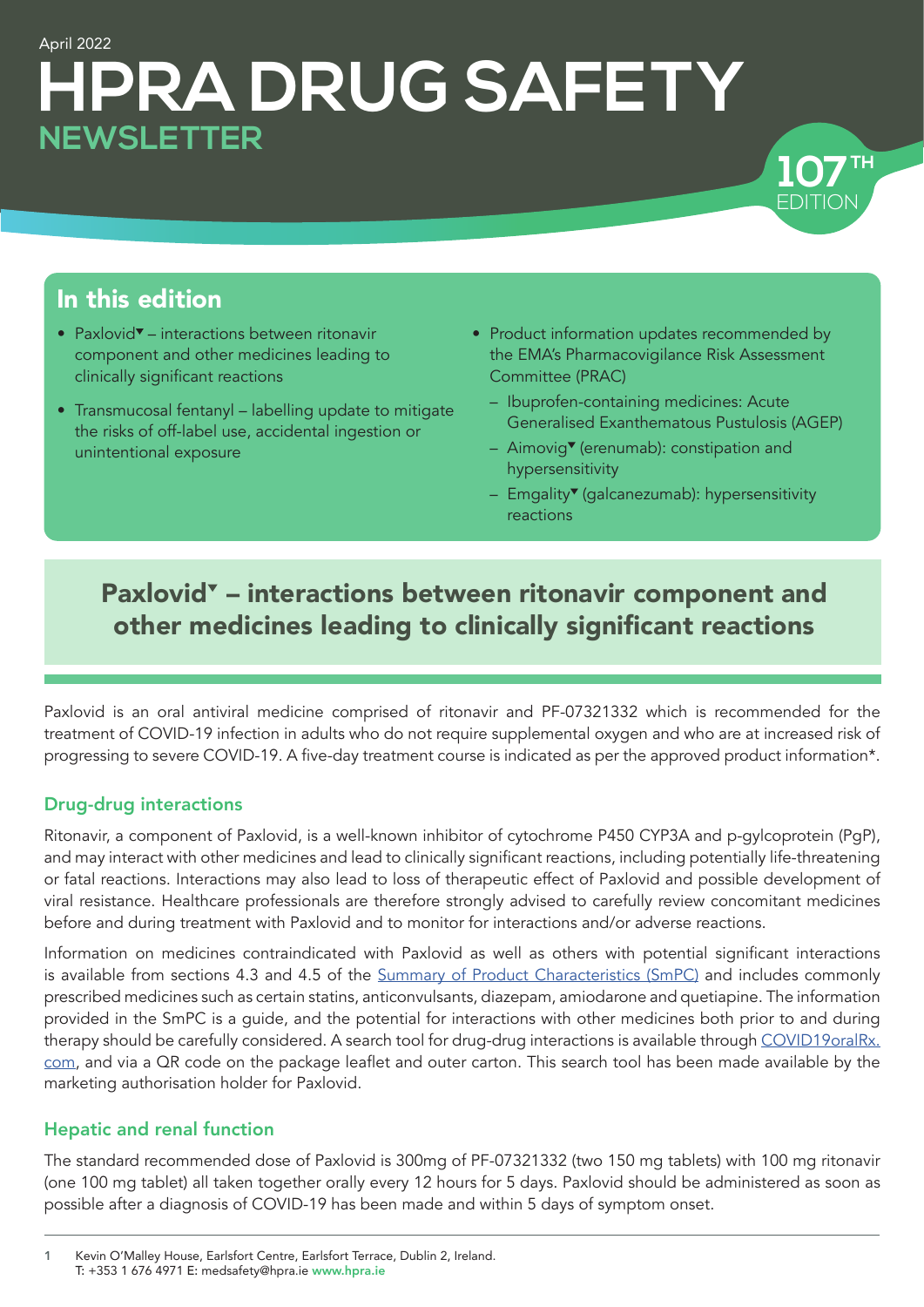# April 2022 **HPRA DRUG SAFETY NEWSLETTER**



### In this edition

- Paxlovid $\blacktriangledown$  interactions between ritonavir component and other medicines leading to clinically significant reactions
- [Transmucosal fentanyl labelling update to mitigate](#page-2-0)  [the risks of off-label use, accidental ingestion or](#page-2-0)  [unintentional exposure](#page-2-0)
- [Product information updates recommended by](#page-3-0)  [the EMA's Pharmacovigilance Risk Assessment](#page-3-0)  [Committee \(PRAC\)](#page-3-0)
	- [Ibuprofen-containing medicines: Acute](#page-3-0)  [Generalised Exanthematous Pustulosis \(AGEP\)](#page-3-0)
	- $-$  Aimovig<sup>\*</sup> (erenumab): constipation and [hypersensitivity](#page-3-0)
	- Emgality<sup>\*</sup> (galcanezumab): hypersensitivity [reactions](#page-3-0)

### Paxlovid<sup>\*</sup> - interactions between ritonavir component and other medicines leading to clinically significant reactions

Paxlovid is an oral antiviral medicine comprised of ritonavir and PF-07321332 which is recommended for the treatment of COVID-19 infection in adults who do not require supplemental oxygen and who are at increased risk of progressing to severe COVID-19. A five-day treatment course is indicated as per the approved product information\*.

#### Drug-drug interactions

Ritonavir, a component of Paxlovid, is a well-known inhibitor of cytochrome P450 CYP3A and p-gylcoprotein (PgP), and may interact with other medicines and lead to clinically significant reactions, including potentially life-threatening or fatal reactions. Interactions may also lead to loss of therapeutic effect of Paxlovid and possible development of viral resistance. Healthcare professionals are therefore strongly advised to carefully review concomitant medicines before and during treatment with Paxlovid and to monitor for interactions and/or adverse reactions.

Information on medicines contraindicated with Paxlovid as well as others with potential significant interactions is available from sections 4.3 and 4.5 of the [Summary of Product Characteristics \(SmPC\)](https://www.ema.europa.eu/en/medicines/human/EPAR/paxlovid) and includes commonly prescribed medicines such as certain statins, anticonvulsants, diazepam, amiodarone and quetiapine. The information provided in the SmPC is a guide, and the potential for interactions with other medicines both prior to and during therapy should be carefully considered. A search tool for drug-drug interactions is available through [COVID19oralRx.](https://www.covid19oralrx.com/en) [com](https://www.covid19oralrx.com/en), and via a QR code on the package leaflet and outer carton. This search tool has been made available by the marketing authorisation holder for Paxlovid.

#### Hepatic and renal function

The standard recommended dose of Paxlovid is 300mg of PF-07321332 (two 150 mg tablets) with 100 mg ritonavir (one 100 mg tablet) all taken together orally every 12 hours for 5 days. Paxlovid should be administered as soon as possible after a diagnosis of COVID-19 has been made and within 5 days of symptom onset.

Kevin O'Malley House, Earlsfort Centre, Earlsfort Terrace, Dublin 2, Ireland. T: +353 1 676 4971 E: medsafety@hpra.ie [www.hpra.ie](http://www.hpra.ie)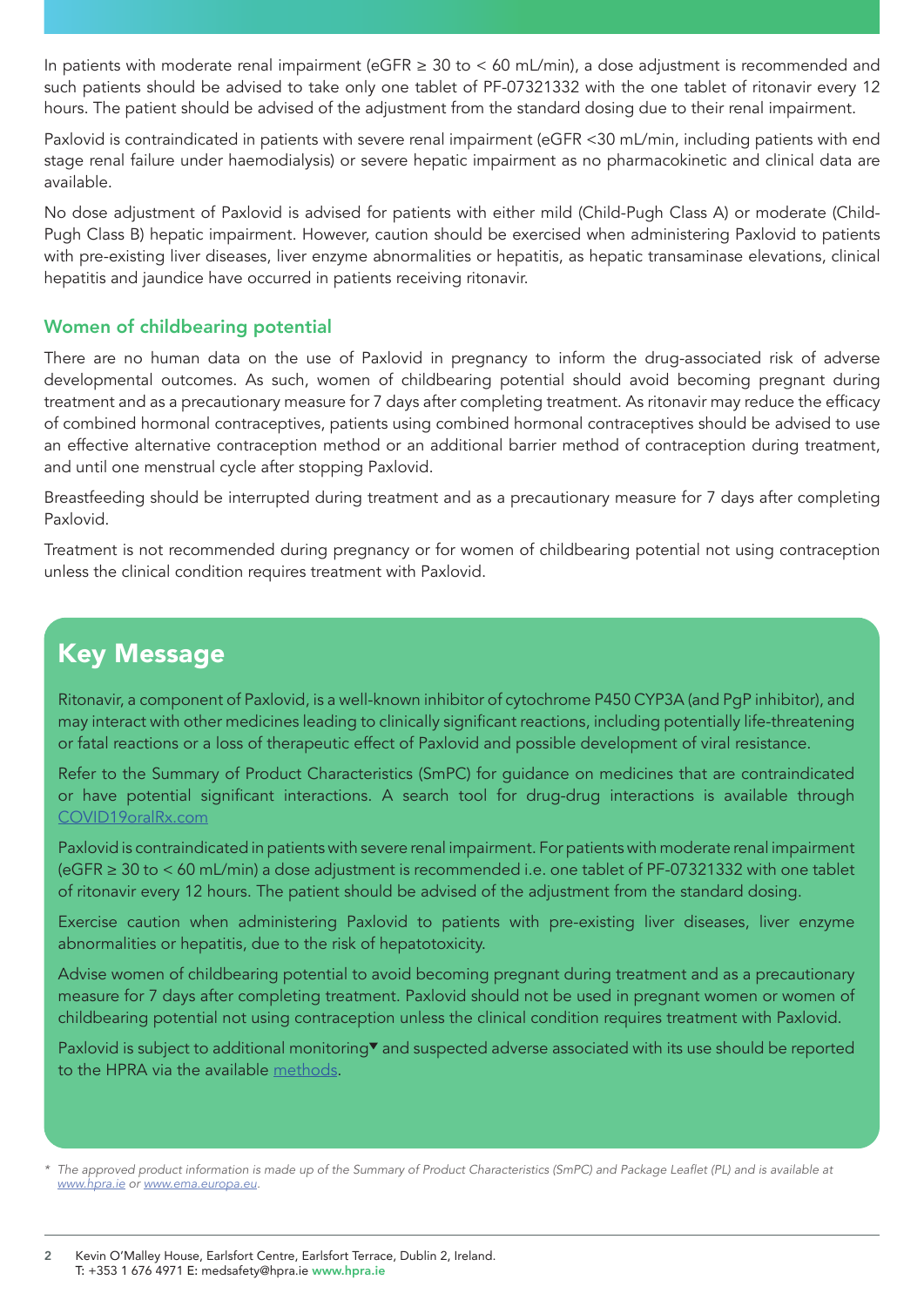In patients with moderate renal impairment (eGFR ≥ 30 to < 60 mL/min), a dose adjustment is recommended and such patients should be advised to take only one tablet of PF-07321332 with the one tablet of ritonavir every 12 hours. The patient should be advised of the adjustment from the standard dosing due to their renal impairment.

Paxlovid is contraindicated in patients with severe renal impairment (eGFR <30 mL/min, including patients with end stage renal failure under haemodialysis) or severe hepatic impairment as no pharmacokinetic and clinical data are available.

No dose adjustment of Paxlovid is advised for patients with either mild (Child-Pugh Class A) or moderate (Child-Pugh Class B) hepatic impairment. However, caution should be exercised when administering Paxlovid to patients with pre-existing liver diseases, liver enzyme abnormalities or hepatitis, as hepatic transaminase elevations, clinical hepatitis and jaundice have occurred in patients receiving ritonavir.

#### Women of childbearing potential

There are no human data on the use of Paxlovid in pregnancy to inform the drug-associated risk of adverse developmental outcomes. As such, women of childbearing potential should avoid becoming pregnant during treatment and as a precautionary measure for 7 days after completing treatment. As ritonavir may reduce the efficacy of combined hormonal contraceptives, patients using combined hormonal contraceptives should be advised to use an effective alternative contraception method or an additional barrier method of contraception during treatment, and until one menstrual cycle after stopping Paxlovid.

Breastfeeding should be interrupted during treatment and as a precautionary measure for 7 days after completing Paxlovid.

Treatment is not recommended during pregnancy or for women of childbearing potential not using contraception unless the clinical condition requires treatment with Paxlovid.

## Key Message

Ritonavir, a component of Paxlovid, is a well-known inhibitor of cytochrome P450 CYP3A (and PgP inhibitor), and may interact with other medicines leading to clinically significant reactions, including potentially life-threatening or fatal reactions or a loss of therapeutic effect of Paxlovid and possible development of viral resistance.

Refer to the Summary of Product Characteristics (SmPC) for guidance on medicines that are contraindicated or have potential significant interactions. A search tool for drug-drug interactions is available through [COVID19oralRx.com](https://www.covid19oralrx.com/en)

Paxlovid is contraindicated in patients with severe renal impairment. For patients with moderate renal impairment (eGFR ≥ 30 to < 60 mL/min) a dose adjustment is recommended i.e. one tablet of PF-07321332 with one tablet of ritonavir every 12 hours. The patient should be advised of the adjustment from the standard dosing.

Exercise caution when administering Paxlovid to patients with pre-existing liver diseases, liver enzyme abnormalities or hepatitis, due to the risk of hepatotoxicity.

Advise women of childbearing potential to avoid becoming pregnant during treatment and as a precautionary measure for 7 days after completing treatment. Paxlovid should not be used in pregnant women or women of childbearing potential not using contraception unless the clinical condition requires treatment with Paxlovid.

Paxlovid is subject to additional monitoring<sup>\*</sup> and suspected adverse associated with its use should be reported to the HPRA via the available [methods](http://www.hpra.ie/homepage/about-us/report-an-issue).

\* The approved product information is made up of the Summary of Product Characteristics (SmPC) and Package Leaflet (PL) and is available at *[www.hpra.ie](http://www.hpra.ie) or [www.ema.europa.eu.](http://www.ema.europa.eu)*

2 Kevin O'Malley House, Earlsfort Centre, Earlsfort Terrace, Dublin 2, Ireland. T: +353 1 676 4971 E: medsafety@hpra.ie www.hpra.ie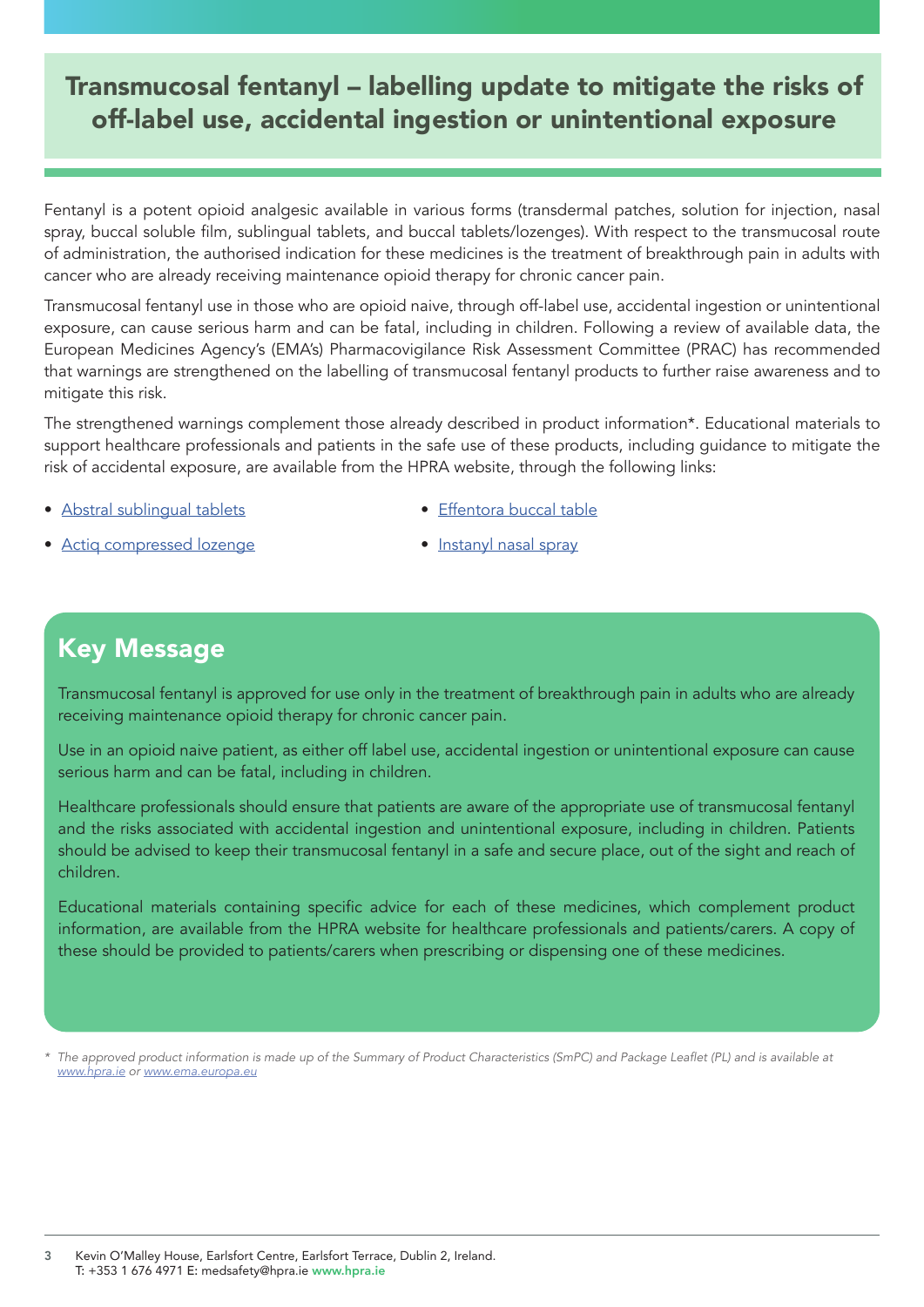### <span id="page-2-0"></span>Transmucosal fentanyl – labelling update to mitigate the risks of off-label use, accidental ingestion or unintentional exposure

Fentanyl is a potent opioid analgesic available in various forms (transdermal patches, solution for injection, nasal spray, buccal soluble film, sublingual tablets, and buccal tablets/lozenges). With respect to the transmucosal route of administration, the authorised indication for these medicines is the treatment of breakthrough pain in adults with cancer who are already receiving maintenance opioid therapy for chronic cancer pain.

Transmucosal fentanyl use in those who are opioid naive, through off-label use, accidental ingestion or unintentional exposure, can cause serious harm and can be fatal, including in children. Following a review of available data, the European Medicines Agency's (EMA's) Pharmacovigilance Risk Assessment Committee (PRAC) has recommended that warnings are strengthened on the labelling of transmucosal fentanyl products to further raise awareness and to mitigate this risk.

The strengthened warnings complement those already described in product information\*. Educational materials to support healthcare professionals and patients in the safe use of these products, including guidance to mitigate the risk of accidental exposure, are available from the HPRA website, through the following links:

• [Abstral sublingual tablets](https://www.hpra.ie/homepage/medicines/medicines-information/find-a-medicine/results/item?pano=PA2288/004/002&t=Abstral%20100%20microgram%20sublingual%20tablets#edumat)

• [Effentora buccal table](https://www.hpra.ie/homepage/medicines/medicines-information/find-a-medicine/results/item?pano=EU/1/08/441/1-2&t=Effentora#edumat)

• [Actiq compressed lozenge](https://www.hpra.ie/homepage/medicines/medicines-information/find-a-medicine/results/item?pano=PA0749/195/001&t=Actiq%20200%20micrograms%20compressed%20lozenge%20with%20integral%20oromucosal%20applicator#edumat)

• [Instanyl nasal spray](https://www.hpra.ie/homepage/medicines/medicines-information/find-a-medicine/results/item?pano=EU/1/09/531/010-013&t=Instanyl#edumat)

### Key Message

Transmucosal fentanyl is approved for use only in the treatment of breakthrough pain in adults who are already receiving maintenance opioid therapy for chronic cancer pain.

Use in an opioid naive patient, as either off label use, accidental ingestion or unintentional exposure can cause serious harm and can be fatal, including in children.

Healthcare professionals should ensure that patients are aware of the appropriate use of transmucosal fentanyl and the risks associated with accidental ingestion and unintentional exposure, including in children. Patients should be advised to keep their transmucosal fentanyl in a safe and secure place, out of the sight and reach of children.

Educational materials containing specific advice for each of these medicines, which complement product information, are available from the HPRA website for healthcare professionals and patients/carers. A copy of these should be provided to patients/carers when prescribing or dispensing one of these medicines.

\* The approved product information is made up of the Summary of Product Characteristics (SmPC) and Package Leaflet (PL) and is available at *[www.hpra.ie](http://www.hpra.ie) or [www.ema.europa.eu](https://www.ema.europa.eu/en)*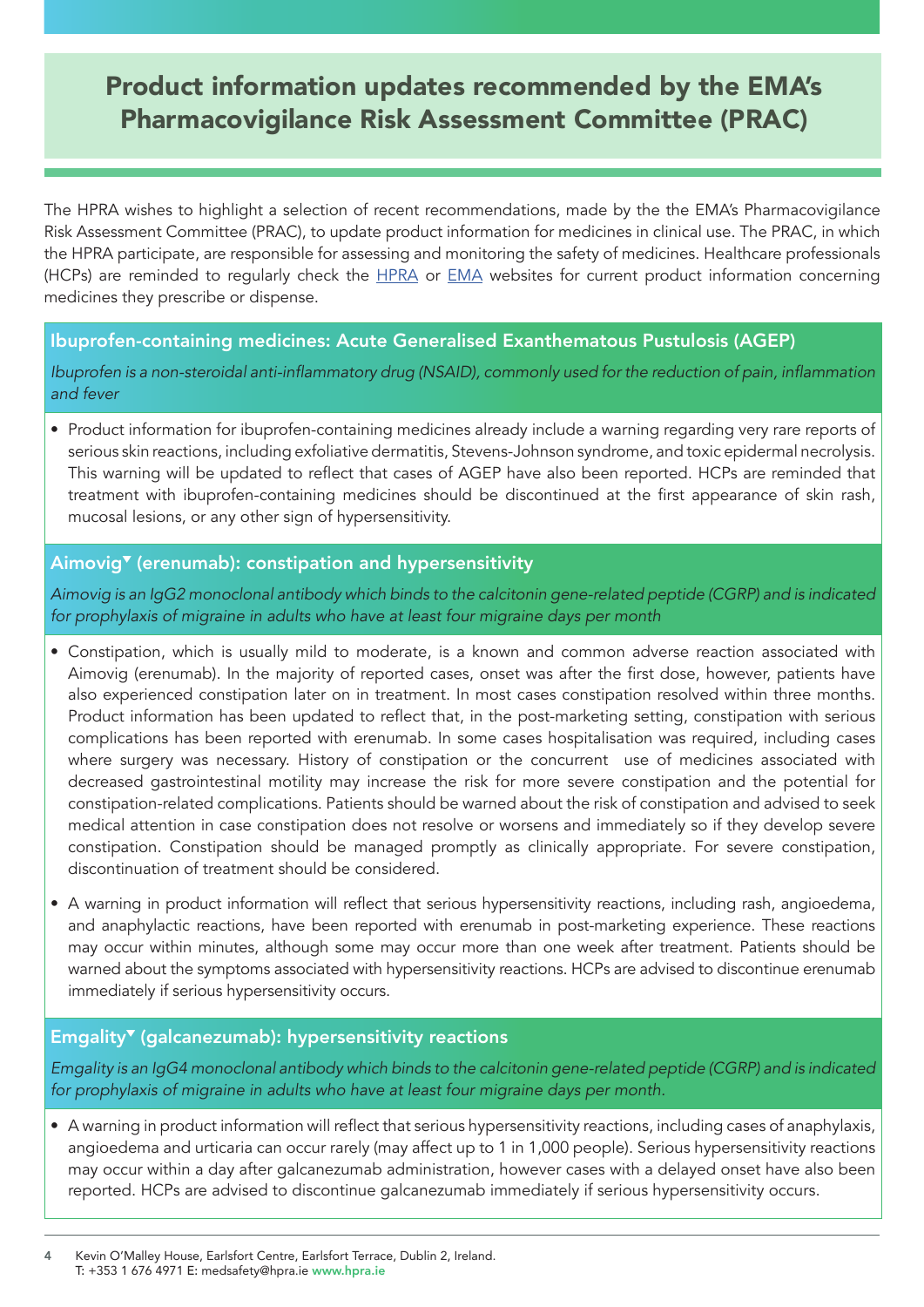### <span id="page-3-0"></span>Product information updates recommended by the EMA's Pharmacovigilance Risk Assessment Committee (PRAC)

The HPRA wishes to highlight a selection of recent recommendations, made by the the EMA's Pharmacovigilance Risk Assessment Committee (PRAC), to update product information for medicines in clinical use. The PRAC, in which the HPRA participate, are responsible for assessing and monitoring the safety of medicines. Healthcare professionals (HCPs) are reminded to regularly check the **HPRA** or **[EMA](https://www.ema.europa.eu/en)** websites for current product information concerning medicines they prescribe or dispense.

#### Ibuprofen-containing medicines: Acute Generalised Exanthematous Pustulosis (AGEP)

Ibuprofen is a non-steroidal anti-inflammatory drug (NSAID), commonly used for the reduction of pain, inflammation *and fever*

• Product information for ibuprofen-containing medicines already include a warning regarding very rare reports of serious skin reactions, including exfoliative dermatitis, Stevens-Johnson syndrome, and toxic epidermal necrolysis. This warning will be updated to reflect that cases of AGEP have also been reported. HCPs are reminded that treatment with ibuprofen-containing medicines should be discontinued at the first appearance of skin rash, mucosal lesions, or any other sign of hypersensitivity.

#### Aimovig<sup>v</sup> (erenumab): constipation and hypersensitivity

Aimovig is an IgG2 monoclonal antibody which binds to the calcitonin gene-related peptide (CGRP) and is indicated for prophylaxis of migraine in adults who have at least four migraine days per month

- Constipation, which is usually mild to moderate, is a known and common adverse reaction associated with Aimovig (erenumab). In the majority of reported cases, onset was after the first dose, however, patients have also experienced constipation later on in treatment. In most cases constipation resolved within three months. Product information has been updated to reflect that, in the post-marketing setting, constipation with serious complications has been reported with erenumab. In some cases hospitalisation was required, including cases where surgery was necessary. History of constipation or the concurrent use of medicines associated with decreased gastrointestinal motility may increase the risk for more severe constipation and the potential for constipation-related complications. Patients should be warned about the risk of constipation and advised to seek medical attention in case constipation does not resolve or worsens and immediately so if they develop severe constipation. Constipation should be managed promptly as clinically appropriate. For severe constipation, discontinuation of treatment should be considered.
- A warning in product information will reflect that serious hypersensitivity reactions, including rash, angioedema, and anaphylactic reactions, have been reported with erenumab in post-marketing experience. These reactions may occur within minutes, although some may occur more than one week after treatment. Patients should be warned about the symptoms associated with hypersensitivity reactions. HCPs are advised to discontinue erenumab immediately if serious hypersensitivity occurs.

#### $Empularity$ <sup> $\blacktriangledown$ </sup> (galcanezumab): hypersensitivity reactions

Emgality is an IgG4 monoclonal antibody which binds to the calcitonin gene-related peptide (CGRP) and is indicated for prophylaxis of migraine in adults who have at least four migraine days per month.

- A warning in product information will reflect that serious hypersensitivity reactions, including cases of anaphylaxis, angioedema and urticaria can occur rarely (may affect up to 1 in 1,000 people). Serious hypersensitivity reactions may occur within a day after galcanezumab administration, however cases with a delayed onset have also been reported. HCPs are advised to discontinue galcanezumab immediately if serious hypersensitivity occurs.
- 4 Kevin O'Malley House, Earlsfort Centre, Earlsfort Terrace, Dublin 2, Ireland. T: +353 1 676 4971 E: medsafety@hpra.ie www.hpra.ie